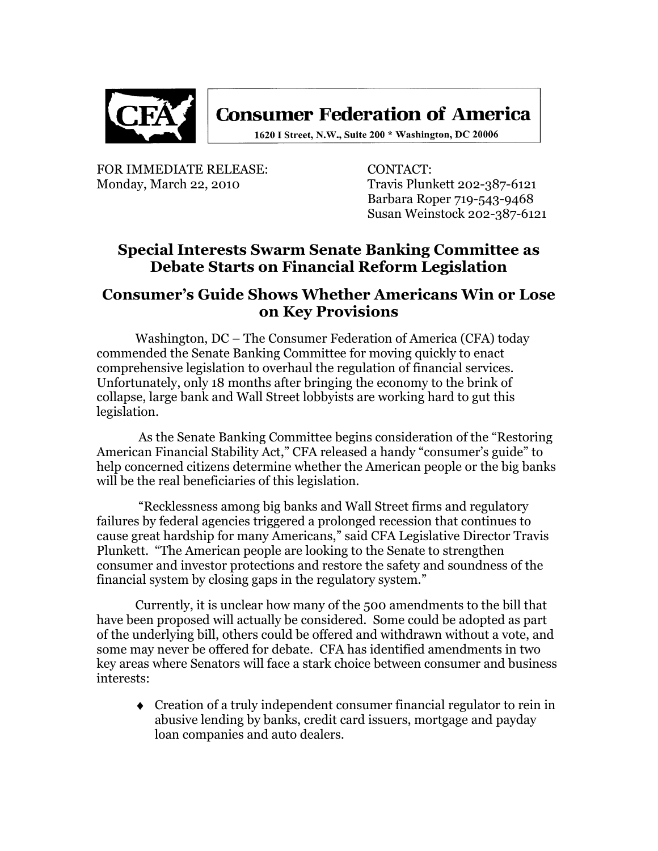

**Consumer Federation of America** 

1620 I Street, N.W., Suite 200 \* Washington, DC 20006

FOR IMMEDIATE RELEASE: CONTACT:

Monday, March 22, 2010 Travis Plunkett 202-387-6121 Barbara Roper 719-543-9468 Susan Weinstock 202-387-6121

## **Special Interests Swarm Senate Banking Committee as Debate Starts on Financial Reform Legislation**

## **Consumer's Guide Shows Whether Americans Win or Lose on Key Provisions**

Washington, DC – The Consumer Federation of America (CFA) today commended the Senate Banking Committee for moving quickly to enact comprehensive legislation to overhaul the regulation of financial services. Unfortunately, only 18 months after bringing the economy to the brink of collapse, large bank and Wall Street lobbyists are working hard to gut this legislation.

As the Senate Banking Committee begins consideration of the "Restoring" American Financial Stability Act," CFA released a handy "consumer's guide" to help concerned citizens determine whether the American people or the big banks will be the real beneficiaries of this legislation.

―Recklessness among big banks and Wall Street firms and regulatory failures by federal agencies triggered a prolonged recession that continues to cause great hardship for many Americans," said CFA Legislative Director Travis Plunkett. "The American people are looking to the Senate to strengthen consumer and investor protections and restore the safety and soundness of the financial system by closing gaps in the regulatory system."

Currently, it is unclear how many of the 500 amendments to the bill that have been proposed will actually be considered. Some could be adopted as part of the underlying bill, others could be offered and withdrawn without a vote, and some may never be offered for debate. CFA has identified amendments in two key areas where Senators will face a stark choice between consumer and business interests:

Creation of a truly independent consumer financial regulator to rein in abusive lending by banks, credit card issuers, mortgage and payday loan companies and auto dealers.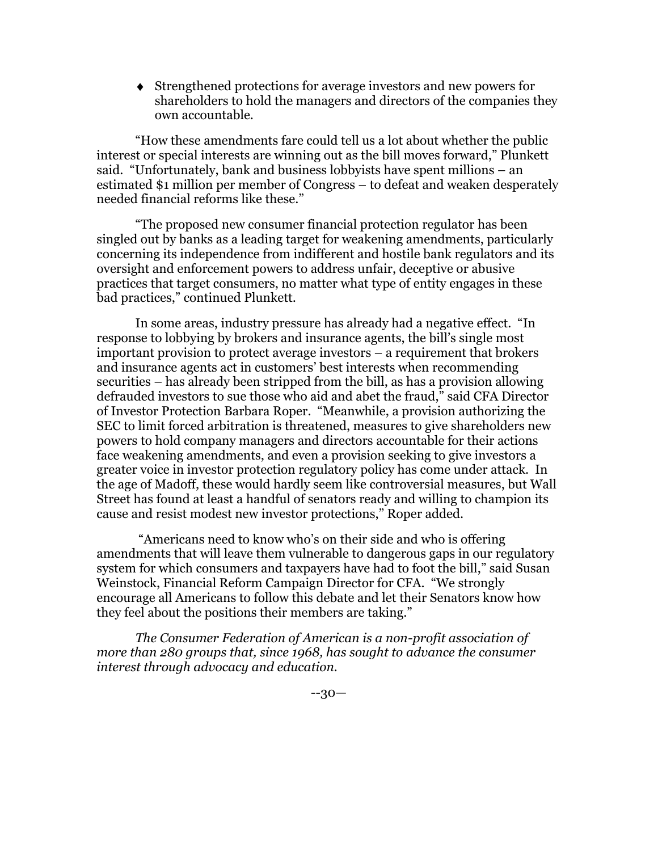Strengthened protections for average investors and new powers for shareholders to hold the managers and directors of the companies they own accountable.

―How these amendments fare could tell us a lot about whether the public interest or special interests are winning out as the bill moves forward," Plunkett said. "Unfortunately, bank and business lobbyists have spent millions  $-$  an estimated \$1 million per member of Congress – to defeat and weaken desperately needed financial reforms like these."

―The proposed new consumer financial protection regulator has been singled out by banks as a leading target for weakening amendments, particularly concerning its independence from indifferent and hostile bank regulators and its oversight and enforcement powers to address unfair, deceptive or abusive practices that target consumers, no matter what type of entity engages in these bad practices," continued Plunkett.

In some areas, industry pressure has already had a negative effect. "In response to lobbying by brokers and insurance agents, the bill's single most important provision to protect average investors – a requirement that brokers and insurance agents act in customers' best interests when recommending securities – has already been stripped from the bill, as has a provision allowing defrauded investors to sue those who aid and abet the fraud," said CFA Director of Investor Protection Barbara Roper. "Meanwhile, a provision authorizing the SEC to limit forced arbitration is threatened, measures to give shareholders new powers to hold company managers and directors accountable for their actions face weakening amendments, and even a provision seeking to give investors a greater voice in investor protection regulatory policy has come under attack. In the age of Madoff, these would hardly seem like controversial measures, but Wall Street has found at least a handful of senators ready and willing to champion its cause and resist modest new investor protections," Roper added.

―Americans need to know who's on their side and who is offering amendments that will leave them vulnerable to dangerous gaps in our regulatory system for which consumers and taxpayers have had to foot the bill," said Susan Weinstock, Financial Reform Campaign Director for CFA. "We strongly encourage all Americans to follow this debate and let their Senators know how they feel about the positions their members are taking."

*The Consumer Federation of American is a non-profit association of more than 280 groups that, since 1968, has sought to advance the consumer interest through advocacy and education.*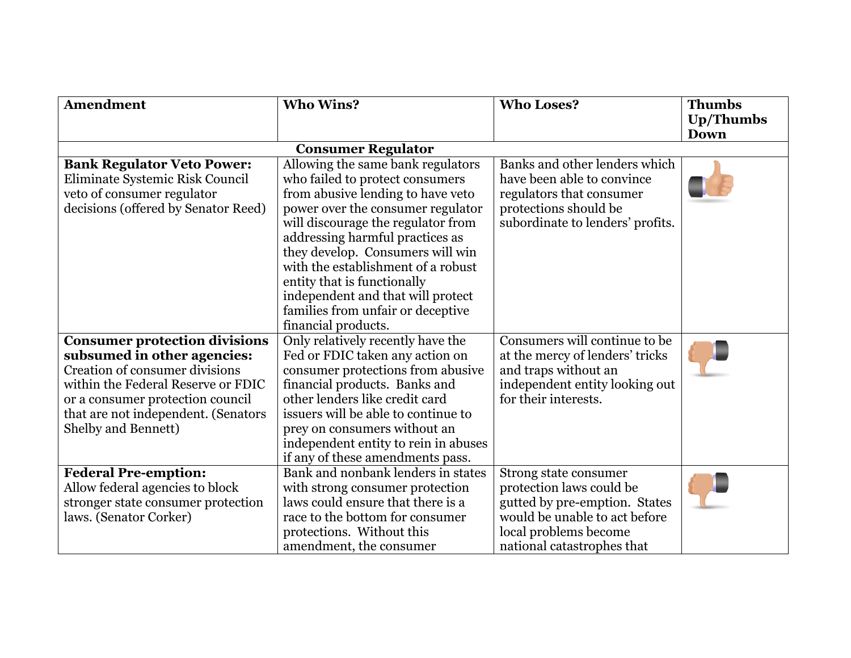| <b>Amendment</b>                                                                                                                                                                                                                              | <b>Who Wins?</b>                                                                                                                                                                                                                                                                                                                                                                                                                  | <b>Who Loses?</b>                                                                                                                                                          | <b>Thumbs</b><br><b>Up/Thumbs</b> |  |  |
|-----------------------------------------------------------------------------------------------------------------------------------------------------------------------------------------------------------------------------------------------|-----------------------------------------------------------------------------------------------------------------------------------------------------------------------------------------------------------------------------------------------------------------------------------------------------------------------------------------------------------------------------------------------------------------------------------|----------------------------------------------------------------------------------------------------------------------------------------------------------------------------|-----------------------------------|--|--|
|                                                                                                                                                                                                                                               |                                                                                                                                                                                                                                                                                                                                                                                                                                   |                                                                                                                                                                            | <b>Down</b>                       |  |  |
|                                                                                                                                                                                                                                               | <b>Consumer Regulator</b>                                                                                                                                                                                                                                                                                                                                                                                                         |                                                                                                                                                                            |                                   |  |  |
| <b>Bank Regulator Veto Power:</b><br>Eliminate Systemic Risk Council<br>veto of consumer regulator<br>decisions (offered by Senator Reed)                                                                                                     | Allowing the same bank regulators<br>who failed to protect consumers<br>from abusive lending to have veto<br>power over the consumer regulator<br>will discourage the regulator from<br>addressing harmful practices as<br>they develop. Consumers will win<br>with the establishment of a robust<br>entity that is functionally<br>independent and that will protect<br>families from unfair or deceptive<br>financial products. | Banks and other lenders which<br>have been able to convince<br>regulators that consumer<br>protections should be<br>subordinate to lenders' profits.                       |                                   |  |  |
| <b>Consumer protection divisions</b><br>subsumed in other agencies:<br>Creation of consumer divisions<br>within the Federal Reserve or FDIC<br>or a consumer protection council<br>that are not independent. (Senators<br>Shelby and Bennett) | Only relatively recently have the<br>Fed or FDIC taken any action on<br>consumer protections from abusive<br>financial products. Banks and<br>other lenders like credit card<br>issuers will be able to continue to<br>prey on consumers without an<br>independent entity to rein in abuses<br>if any of these amendments pass.                                                                                                   | Consumers will continue to be<br>at the mercy of lenders' tricks<br>and traps without an<br>independent entity looking out<br>for their interests.                         |                                   |  |  |
| <b>Federal Pre-emption:</b><br>Allow federal agencies to block<br>stronger state consumer protection<br>laws. (Senator Corker)                                                                                                                | Bank and nonbank lenders in states<br>with strong consumer protection<br>laws could ensure that there is a<br>race to the bottom for consumer<br>protections. Without this<br>amendment, the consumer                                                                                                                                                                                                                             | Strong state consumer<br>protection laws could be<br>gutted by pre-emption. States<br>would be unable to act before<br>local problems become<br>national catastrophes that |                                   |  |  |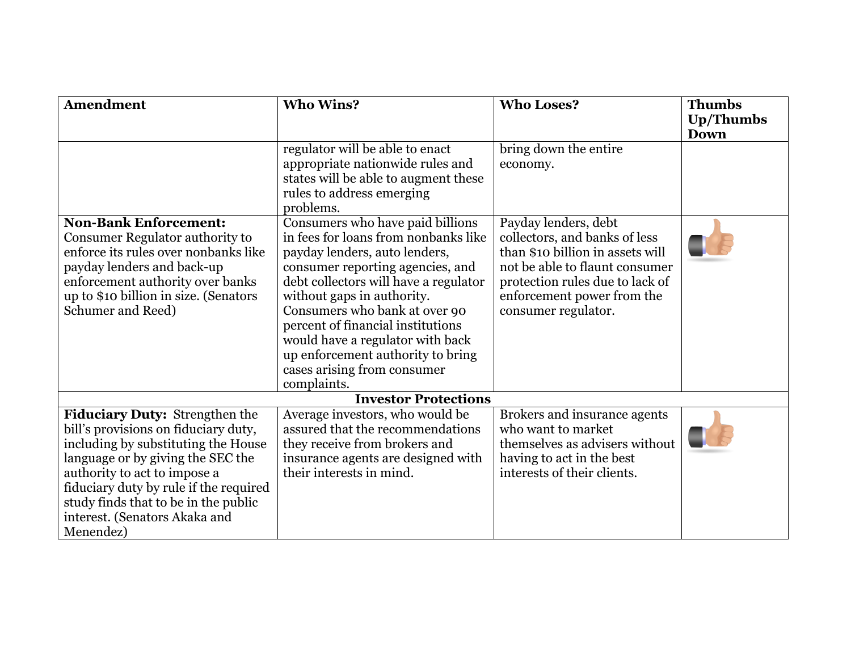| Amendment                                                                                                                                                                                                                                                                                                          | <b>Who Wins?</b>                                                                                                                                                                                                                                                                                                                                                                                                  | <b>Who Loses?</b>                                                                                                                                                                                                   | <b>Thumbs</b>                   |
|--------------------------------------------------------------------------------------------------------------------------------------------------------------------------------------------------------------------------------------------------------------------------------------------------------------------|-------------------------------------------------------------------------------------------------------------------------------------------------------------------------------------------------------------------------------------------------------------------------------------------------------------------------------------------------------------------------------------------------------------------|---------------------------------------------------------------------------------------------------------------------------------------------------------------------------------------------------------------------|---------------------------------|
|                                                                                                                                                                                                                                                                                                                    |                                                                                                                                                                                                                                                                                                                                                                                                                   |                                                                                                                                                                                                                     | <b>Up/Thumbs</b><br><b>Down</b> |
|                                                                                                                                                                                                                                                                                                                    | regulator will be able to enact<br>appropriate nationwide rules and<br>states will be able to augment these<br>rules to address emerging<br>problems.                                                                                                                                                                                                                                                             | bring down the entire<br>economy.                                                                                                                                                                                   |                                 |
| <b>Non-Bank Enforcement:</b><br>Consumer Regulator authority to<br>enforce its rules over nonbanks like<br>payday lenders and back-up<br>enforcement authority over banks<br>up to \$10 billion in size. (Senators<br>Schumer and Reed)                                                                            | Consumers who have paid billions<br>in fees for loans from nonbanks like<br>payday lenders, auto lenders,<br>consumer reporting agencies, and<br>debt collectors will have a regulator<br>without gaps in authority.<br>Consumers who bank at over 90<br>percent of financial institutions<br>would have a regulator with back<br>up enforcement authority to bring<br>cases arising from consumer<br>complaints. | Payday lenders, debt<br>collectors, and banks of less<br>than \$10 billion in assets will<br>not be able to flaunt consumer<br>protection rules due to lack of<br>enforcement power from the<br>consumer regulator. |                                 |
|                                                                                                                                                                                                                                                                                                                    | <b>Investor Protections</b>                                                                                                                                                                                                                                                                                                                                                                                       |                                                                                                                                                                                                                     |                                 |
| Fiduciary Duty: Strengthen the<br>bill's provisions on fiduciary duty,<br>including by substituting the House<br>language or by giving the SEC the<br>authority to act to impose a<br>fiduciary duty by rule if the required<br>study finds that to be in the public<br>interest. (Senators Akaka and<br>Menendez) | Average investors, who would be<br>assured that the recommendations<br>they receive from brokers and<br>insurance agents are designed with<br>their interests in mind.                                                                                                                                                                                                                                            | Brokers and insurance agents<br>who want to market<br>themselves as advisers without<br>having to act in the best<br>interests of their clients.                                                                    |                                 |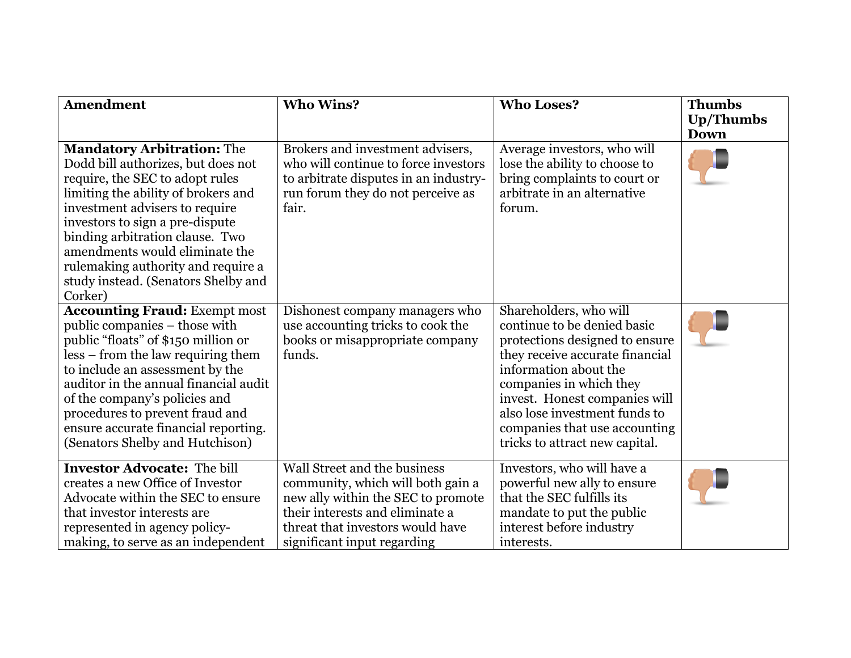| Amendment                                                                                                                                                                                                                                                                                                                                                                           | <b>Who Wins?</b>                                                                                                                                                                                              | <b>Who Loses?</b>                                                                                                                                                                                                                                                                                                   | <b>Thumbs</b><br><b>Up/Thumbs</b><br><b>Down</b> |
|-------------------------------------------------------------------------------------------------------------------------------------------------------------------------------------------------------------------------------------------------------------------------------------------------------------------------------------------------------------------------------------|---------------------------------------------------------------------------------------------------------------------------------------------------------------------------------------------------------------|---------------------------------------------------------------------------------------------------------------------------------------------------------------------------------------------------------------------------------------------------------------------------------------------------------------------|--------------------------------------------------|
| <b>Mandatory Arbitration: The</b><br>Dodd bill authorizes, but does not<br>require, the SEC to adopt rules<br>limiting the ability of brokers and<br>investment advisers to require<br>investors to sign a pre-dispute<br>binding arbitration clause. Two<br>amendments would eliminate the<br>rulemaking authority and require a<br>study instead. (Senators Shelby and<br>Corker) | Brokers and investment advisers,<br>who will continue to force investors<br>to arbitrate disputes in an industry-<br>run forum they do not perceive as<br>fair.                                               | Average investors, who will<br>lose the ability to choose to<br>bring complaints to court or<br>arbitrate in an alternative<br>forum.                                                                                                                                                                               |                                                  |
| <b>Accounting Fraud: Exempt most</b><br>public companies – those with<br>public "floats" of \$150 million or<br>less – from the law requiring them<br>to include an assessment by the<br>auditor in the annual financial audit<br>of the company's policies and<br>procedures to prevent fraud and<br>ensure accurate financial reporting.<br>(Senators Shelby and Hutchison)       | Dishonest company managers who<br>use accounting tricks to cook the<br>books or misappropriate company<br>funds.                                                                                              | Shareholders, who will<br>continue to be denied basic<br>protections designed to ensure<br>they receive accurate financial<br>information about the<br>companies in which they<br>invest. Honest companies will<br>also lose investment funds to<br>companies that use accounting<br>tricks to attract new capital. |                                                  |
| <b>Investor Advocate: The bill</b><br>creates a new Office of Investor<br>Advocate within the SEC to ensure<br>that investor interests are<br>represented in agency policy-<br>making, to serve as an independent                                                                                                                                                                   | Wall Street and the business<br>community, which will both gain a<br>new ally within the SEC to promote<br>their interests and eliminate a<br>threat that investors would have<br>significant input regarding | Investors, who will have a<br>powerful new ally to ensure<br>that the SEC fulfills its<br>mandate to put the public<br>interest before industry<br>interests.                                                                                                                                                       |                                                  |